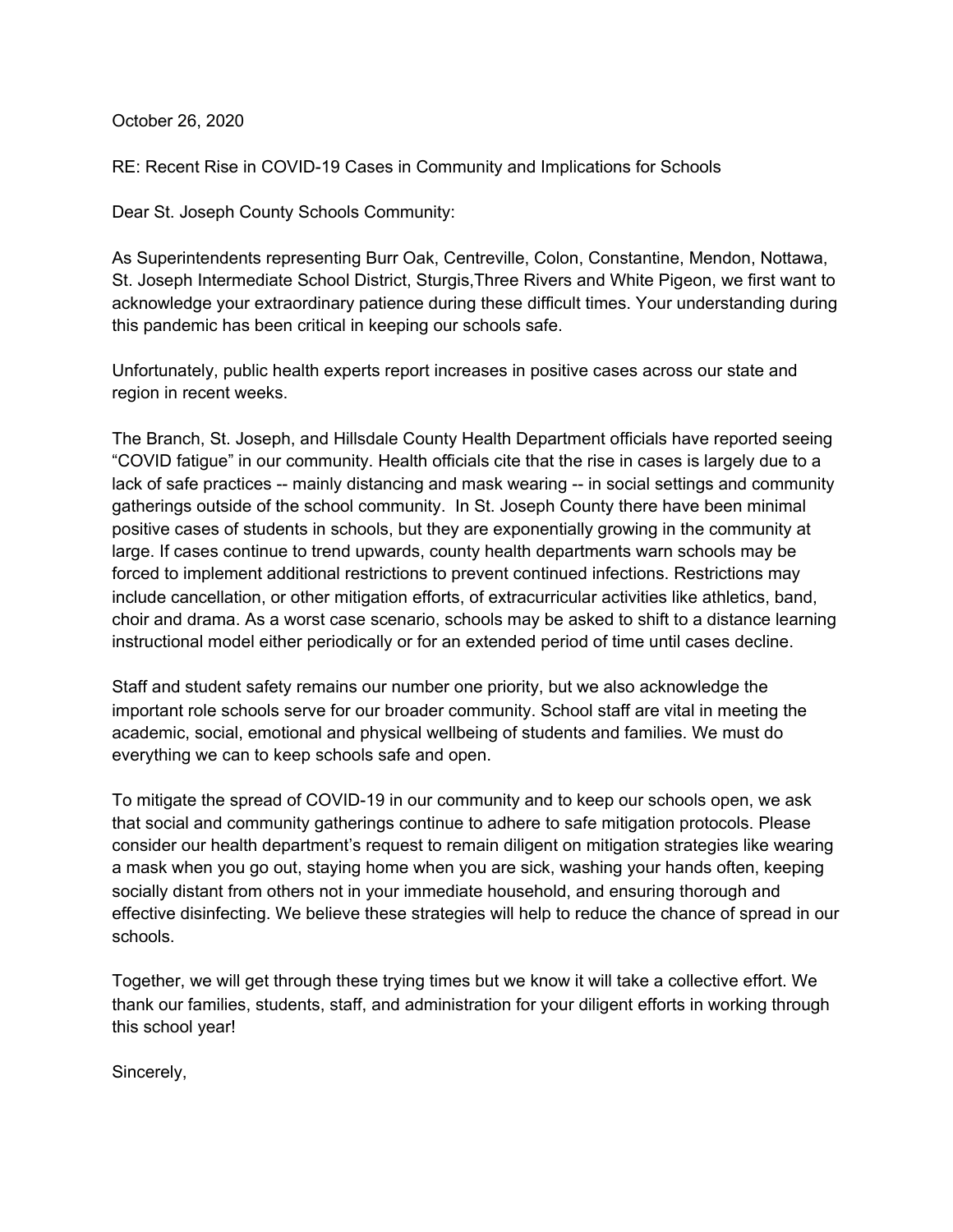October 26, 2020

RE: Recent Rise in COVID-19 Cases in Community and Implications for Schools

Dear St. Joseph County Schools Community:

As Superintendents representing Burr Oak, Centreville, Colon, Constantine, Mendon, Nottawa, St. Joseph Intermediate School District, Sturgis, Three Rivers and White Pigeon, we first want to acknowledge your extraordinary patience during these difficult times. Your understanding during this pandemic has been critical in keeping our schools safe.

Unfortunately, public health experts report increases in positive cases across our state and region in recent weeks.

The Branch, St. Joseph, and Hillsdale County Health Department officials have reported seeing "COVID fatigue" in our community. Health officials cite that the rise in cases is largely due to a lack of safe practices -- mainly distancing and mask wearing -- in social settings and community gatherings outside of the school community. In St. Joseph County there have been minimal positive cases of students in schools, but they are exponentially growing in the community at large. If cases continue to trend upwards, county health departments warn schools may be forced to implement additional restrictions to prevent continued infections. Restrictions may include cancellation, or other mitigation efforts, of extracurricular activities like athletics, band, choir and drama. As a worst case scenario, schools may be asked to shift to a distance learning instructional model either periodically or for an extended period of time until cases decline.

Staff and student safety remains our number one priority, but we also acknowledge the important role schools serve for our broader community. School staff are vital in meeting the academic, social, emotional and physical wellbeing of students and families. We must do everything we can to keep schools safe and open.

To mitigate the spread of COVID-19 in our community and to keep our schools open, we ask that social and community gatherings continue to adhere to safe mitigation protocols. Please consider our health department's request to remain diligent on mitigation strategies like wearing a mask when you go out, staying home when you are sick, washing your hands often, keeping socially distant from others not in your immediate household, and ensuring thorough and effective disinfecting. We believe these strategies will help to reduce the chance of spread in our schools.

Together, we will get through these trying times but we know it will take a collective effort. We thank our families, students, staff, and administration for your diligent efforts in working through this school year!

Sincerely,